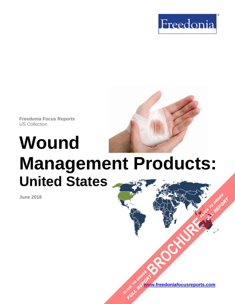

**Freedonia Focus Reports** US Collection

# **Wound Management Products: United States**

**June 2018**

**[www.freedoniafocusreports.com](https://www.freedoniafocusreports.com/redirect.asp?progid=89534&url=/) [BROCHURE](https://www.freedoniafocusreports.com/Wound-Management-Products-United-States-FF40046/?progid=89541) CLICK TO ORDER** CLICK TO ORDER **FULL REPORT** 

**FULL REPORT**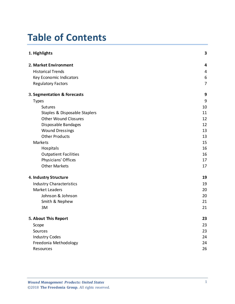# **Table of Contents**

| 1. Highlights                   | 3                |
|---------------------------------|------------------|
| 2. Market Environment           | 4                |
| <b>Historical Trends</b>        | 4                |
| Key Economic Indicators         | $\boldsymbol{6}$ |
| <b>Regulatory Factors</b>       | $\overline{7}$   |
| 3. Segmentation & Forecasts     | 9                |
| <b>Types</b>                    | 9                |
| <b>Sutures</b>                  | 10               |
| Staples & Disposable Staplers   | 11               |
| <b>Other Wound Closures</b>     | 12               |
| Disposable Bandages             | 12               |
| <b>Wound Dressings</b>          | 13               |
| <b>Other Products</b>           | 13               |
| Markets                         | 15               |
| Hospitals                       | 16               |
| <b>Outpatient Facilities</b>    | 16               |
| Physicians' Offices             | 17               |
| <b>Other Markets</b>            | 17               |
| 4. Industry Structure           | 19               |
| <b>Industry Characteristics</b> | 19               |
| <b>Market Leaders</b>           | 20               |
| Johnson & Johnson               | 20               |
| Smith & Nephew                  | 21               |
| 3M                              | 21               |
| 5. About This Report            | 23               |
| Scope                           | 23               |
| Sources                         | 23               |
| <b>Industry Codes</b>           | 24               |
| Freedonia Methodology           | 24               |
| Resources                       | 26               |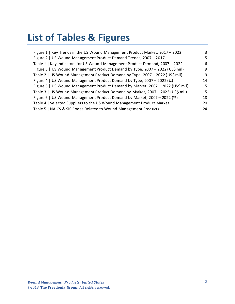# **List of Tables & Figures**

| Figure 1   Key Trends in the US Wound Management Product Market, 2017 - 2022    | 3  |
|---------------------------------------------------------------------------------|----|
| Figure 2   US Wound Management Product Demand Trends, 2007 - 2017               | 5  |
| Table 1   Key Indicators for US Wound Management Product Demand, 2007 - 2022    | 6  |
| Figure 3   US Wound Management Product Demand by Type, 2007 - 2022 (US\$ mil)   | 9  |
| Table 2   US Wound Management Product Demand by Type, 2007 - 2022 (US\$ mil)    | 9  |
| Figure 4   US Wound Management Product Demand by Type, 2007 - 2022 (%)          | 14 |
| Figure 5   US Wound Management Product Demand by Market, 2007 - 2022 (US\$ mil) | 15 |
| Table 3   US Wound Management Product Demand by Market, 2007 - 2022 (US\$ mil)  | 15 |
| Figure 6   US Wound Management Product Demand by Market, 2007 - 2022 (%)        | 18 |
| Table 4   Selected Suppliers to the US Wound Management Product Market          | 20 |
| Table 5   NAICS & SIC Codes Related to Wound Management Products                | 24 |
|                                                                                 |    |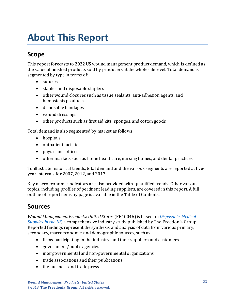# <span id="page-3-0"></span>**About This Report**

## <span id="page-3-1"></span>**Scope**

This report forecasts to 2022 US wound management product demand, which is defined as the value of finished products sold by producers at the wholesale level. Total demand is segmented by type in terms of:

- sutures
- staples and disposable staplers
- other wound closures such as tissue sealants, anti-adhesion agents, and hemostasis products
- disposable bandages
- wound dressings
- other products such as first aid kits, sponges, and cotton goods

Total demand is also segmented by market as follows:

- hospitals
- outpatient facilities
- physicians' offices
- other markets such as home healthcare, nursing homes, and dental practices

To illustrate historical trends, total demand and the various segments are reported at fiveyear intervals for 2007, 2012, and 2017.

Key macroeconomic indicators are also provided with quantified trends. Other various topics, including profiles of pertinent leading suppliers, are covered in this report. A full outline of report items by page is available in the Table of Contents.

## <span id="page-3-2"></span>**Sources**

*Wound Management Products: United States* (FF40046) is based on *[Disposable Medical](http://www.freedoniagroup.com/DocumentDetails.aspx?ReferrerId=FL-FOCUS&studyid=3631)  [Supplies in the US,](http://www.freedoniagroup.com/DocumentDetails.aspx?ReferrerId=FL-FOCUS&studyid=3631)* a comprehensive industry study published by The Freedonia Group. Reported findings represent the synthesis and analysis of data from various primary, secondary, macroeconomic, and demographic sources, such as:

- firms participating in the industry, and their suppliers and customers
- government/public agencies
- intergovernmental and non-governmental organizations
- trade associations and their publications
- the business and trade press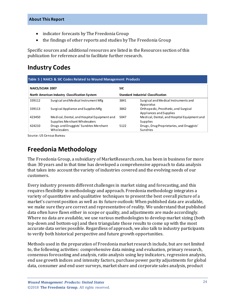- indicator forecasts by The Freedonia Group
- the findings of other reports and studies by The Freedonia Group

Specific sources and additional resources are listed in the Resources section of this publication for reference and to facilitate further research.

### <span id="page-4-0"></span>**Industry Codes**

<span id="page-4-2"></span>

| NAICS/SCIAN 2007<br>North American Industry Classification System |                                                                              | <b>SIC</b>                                |                                                                  |
|-------------------------------------------------------------------|------------------------------------------------------------------------------|-------------------------------------------|------------------------------------------------------------------|
|                                                                   |                                                                              | <b>Standard Industrial Classification</b> |                                                                  |
| 339112                                                            | Surgical and Medical Instrument Mfg                                          | 3841                                      | Surgical and Medical Instruments and<br>Apparatus                |
| 339113                                                            | Surgical Appliance and Supplies Mfg                                          | 3842                                      | Orthope dic, Prosthetic, and Surgical<br>Appliances and Supplies |
| 423450                                                            | Medical, Dental, and Hospital Equipment and<br>Supplies Merchant Wholesalers | 5047                                      | Medical, Dental, and Hospital Equipment and<br><b>Supplies</b>   |
| 424210                                                            | Drugs and Druggists' Sundries Merchant<br>Wholesalers                        | 5122                                      | Drugs, Drug Proprietaries, and Druggists'<br>Sundries            |

Source: US Census Bureau

### <span id="page-4-1"></span>**Freedonia Methodology**

The Freedonia Group, a subsidiary of MarketResearch.com, has been in business for more than 30 years and in that time has developed a comprehensive approach to data analysis that takes into account the variety of industries covered and the evolving needs of our customers.

Every industry presents different challenges in market sizing and forecasting, and this requires flexibility in methodology and approach. Freedonia methodology integrates a variety of quantitative and qualitative techniques to present the best overall picture of a market's current position as well as its future outlook: When published data are available, we make sure they are correct and representative of reality. We understand that published data often have flaws either in scope or quality, and adjustments are made accordingly. Where no data are available, we use various methodologies to develop market sizing (both top-down and bottom-up) and then triangulate those results to come up with the most accurate data series possible. Regardless of approach, we also talk to industry participants to verify both historical perspective and future growth opportunities.

Methods used in the preparation of Freedonia market research include, but are not limited to, the following activities: comprehensive data mining and evaluation, primary research, consensus forecasting and analysis, ratio analysis using key indicators, regression analysis, end use growth indices and intensity factors, purchase power parity adjustments for global data, consumer and end user surveys, market share and corporate sales analysis, product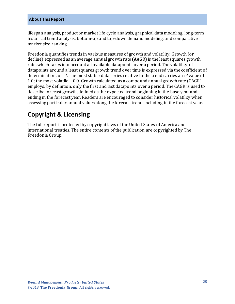#### **About This Report**

lifespan analysis, product or market life cycle analysis, graphical data modeling, long-term historical trend analysis, bottom-up and top-down demand modeling, and comparative market size ranking.

Freedonia quantifies trends in various measures of growth and volatility. Growth (or decline) expressed as an average annual growth rate (AAGR) is the least squares growth rate, which takes into account all available datapoints over a period. The volatility of datapoints around a least squares growth trend over time is expressed via the coefficient of determination, or  $r^2$ . The most stable data series relative to the trend carries an  $r^2$  value of 1.0; the most volatile – 0.0. Growth calculated as a compound annual growth rate (CAGR) employs, by definition, only the first and last datapoints over a period. The CAGR is used to describe forecast growth, defined as the expected trend beginning in the base year and ending in the forecast year. Readers are encouraged to consider historical volatility when assessing particular annual values along the forecast trend, including in the forecast year.

# **Copyright & Licensing**

The full report is protected by copyright laws of the United States of America and international treaties. The entire contents of the publication are copyrighted by The Freedonia Group.